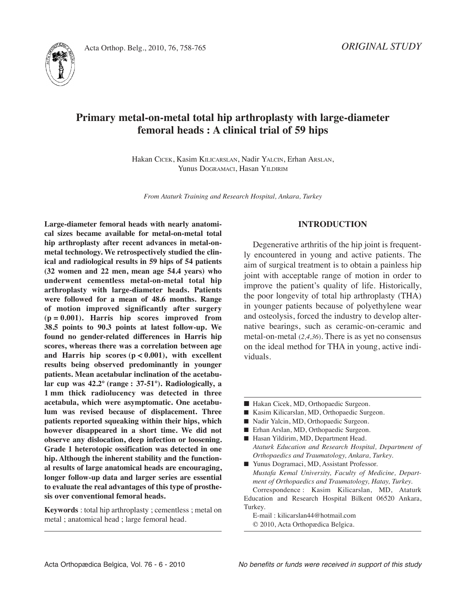

# **Primary metal-on-metal total hip arthroplasty with large-diameter femoral heads : A clinical trial of 59 hips**

Hakan CICEK, Kasim KILICARSLAN, Nadir YALCIN, Erhan ARSLAN, Yunus DOGRAMACI, Hasan YILDIRIM

*From Ataturk Training and Research Hospital, Ankara, Turkey*

**Large-diameter femoral heads with nearly anatomical sizes became available for metal-on-metal total hip arthroplasty after recent advances in metal-onmetal technology. We retrospectively studied the clinical and radiological results in 59 hips of 54 patients (32 women and 22 men, mean age 54.4 years) who underwent cementless metal-on-metal total hip arthroplasty with large-diameter heads. Patients were followed for a mean of 48.6 months. Range of motion improved significantly after surgery (p = 0.001). Harris hip scores improved from 38.5 points to 90.3 points at latest follow-up. We found no gender-related differences in Harris hip scores, whereas there was a correlation between age and Harris hip scores (p < 0.001), with excellent results being observed predominantly in younger patients. Mean acetabular inclination of the acetabular cup was 42.2° (range : 37-51°). Radiologically, a 1 mm thick radiolucency was detected in three acetabula, which were asymptomatic. One acetabulum was revised because of displacement. Three patients reported squeaking within their hips, which however disappeared in a short time. We did not observe any dislocation, deep infection or loosening. Grade 1 heterotopic ossification was detected in one hip. Although the inherent stability and the functional results of large anatomical heads are encouraging, longer follow-up data and larger series are essential to evaluate the real advantages of this type of prosthesis over conventional femoral heads.**

**Keywords** : total hip arthroplasty ; cementless ; metal on metal ; anatomical head ; large femoral head.

## **INTRODUCTION**

Degenerative arthritis of the hip joint is frequently encountered in young and active patients. The aim of surgical treatment is to obtain a painless hip joint with acceptable range of motion in order to improve the patient's quality of life. Historically, the poor longevity of total hip arthroplasty (THA) in younger patients because of polyethylene wear and osteolysis, forced the industry to develop alternative bearings, such as ceramic-on-ceramic and metal-on-metal (*2,4,36*). There is as yet no consensus on the ideal method for THA in young, active individuals.

- Hakan Cicek, MD, Orthopaedic Surgeon.
- Kasim Kilicarslan, MD, Orthopaedic Surgeon.
- Nadir Yalcin, MD, Orthopaedic Surgeon.
- Erhan Arslan, MD, Orthopaedic Surgeon.
- Hasan Yildirim, MD, Department Head. *Ataturk Education and Research Hospital, Department of Orthopaedics and Traumatology, Ankara, Turkey.*
- Yunus Dogramaci, MD, Assistant Professor. *Mustafa Kemal University, Faculty of Medicine, Department of Orthopaedics and Traumatology, Hatay, Turkey.* Correspondence : Kasim Kilicarslan, MD, Ataturk

Education and Research Hospital Bilkent 06520 Ankara, Turkey.

E-mail : kilicarslan44@hotmail.com © 2010, Acta Orthopædica Belgica.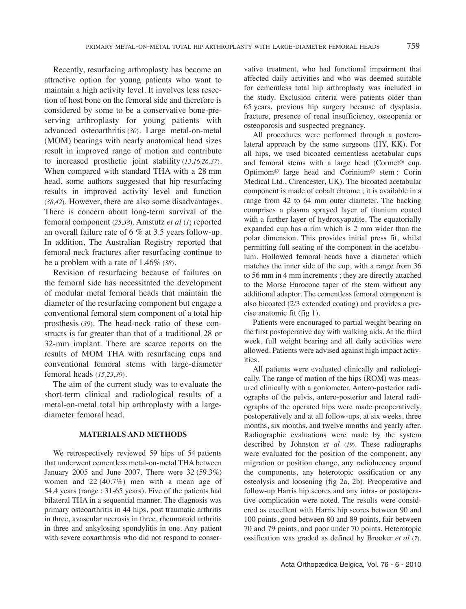Recently, resurfacing arthroplasty has become an attractive option for young patients who want to maintain a high activity level. it involves less resection of host bone on the femoral side and therefore is considered by some to be a conservative bone-preserving arthroplasty for young patients with advanced osteoarthritis (*30*). large metal-on-metal (MOM) bearings with nearly anatomical head sizes result in improved range of motion and contribute to increased prosthetic joint stability (*13,16,26,37*). When compared with standard THA with a 28 mm head, some authors suggested that hip resurfacing results in improved activity level and function (*38,42*). However, there are also some disadvantages. There is concern about long-term survival of the femoral component (*25,38*). Amstutz *et al* (*1*) reported an overall failure rate of 6 % at 3.5 years follow-up. In addition, The Australian Registry reported that femoral neck fractures after resurfacing continue to be a problem with a rate of 1.46% (*38*).

Revision of resurfacing because of failures on the femoral side has necessitated the development of modular metal femoral heads that maintain the diameter of the resurfacing component but engage a conventional femoral stem component of a total hip prosthesis (*39*). The head-neck ratio of these constructs is far greater than that of a traditional 28 or 32-mm implant. There are scarce reports on the results of MOM THA with resurfacing cups and conventional femoral stems with large-diameter femoral heads (*15,23,39*).

The aim of the current study was to evaluate the short-term clinical and radiological results of a metal-on-metal total hip arthroplasty with a largediameter femoral head.

## **MATERIALS AND METHODS**

We retrospectively reviewed 59 hips of 54 patients that underwent cementless metal-on-metal THA between January 2005 and June 2007. There were 32 (59.3%) women and 22 (40.7%) men with a mean age of 54.4 years (range : 31-65 years). Five of the patients had bilateral THA in a sequential manner. The diagnosis was primary osteoarthritis in 44 hips, post traumatic arthritis in three, avascular necrosis in three, rheumatoid arthritis in three and ankylosing spondylitis in one. Any patient with severe coxarthrosis who did not respond to conservative treatment, who had functional impairment that affected daily activities and who was deemed suitable for cementless total hip arthroplasty was included in the study. Exclusion criteria were patients older than 65 years, previous hip surgery because of dysplasia, fracture, presence of renal insufficiency, osteopenia or osteoporosis and suspected pregnancy.

All procedures were performed through a posterolateral approach by the same surgeons (HY, KK). For all hips, we used bicoated cementless acetabular cups and femoral stems with a large head (Cormet® cup, Optimom® large head and Corinium® stem ; Corin Medical ltd., Cirencester, UK). The bicoated acetabular component is made of cobalt chrome ; it is available in a range from 42 to 64 mm outer diameter. The backing comprises a plasma sprayed layer of titanium coated with a further layer of hydroxyapatite. The equatorially expanded cup has a rim which is 2 mm wider than the polar dimension. This provides initial press fit, whilst permitting full seating of the component in the acetabulum. Hollowed femoral heads have a diameter which matches the inner side of the cup, with a range from 36 to 56 mm in 4 mm increments ; they are directly attached to the Morse Eurocone taper of the stem without any additional adaptor. The cementless femoral component is also bicoated (2/3 extended coating) and provides a precise anatomic fit (fig 1).

Patients were encouraged to partial weight bearing on the first postoperative day with walking aids. At the third week, full weight bearing and all daily activities were allowed. Patients were advised against high impact activities.

All patients were evaluated clinically and radiologically. The range of motion of the hips (ROM) was measured clinically with a goniometer. Antero-posterior radiographs of the pelvis, antero-posterior and lateral radiographs of the operated hips were made preoperatively, postoperatively and at all follow-ups, at six weeks, three months, six months, and twelve months and yearly after. Radiographic evaluations were made by the system described by Johnston *et al* (*19*). These radiographs were evaluated for the position of the component, any migration or position change, any radiolucency around the components, any heterotopic ossification or any osteolysis and loosening (fig 2a, 2b). Preoperative and follow-up Harris hip scores and any intra- or postoperative complication were noted. The results were considered as excellent with Harris hip scores between 90 and 100 points, good between 80 and 89 points, fair between 70 and 79 points, and poor under 70 points. Heterotopic ossification was graded as defined by Brooker *et al* (*7*).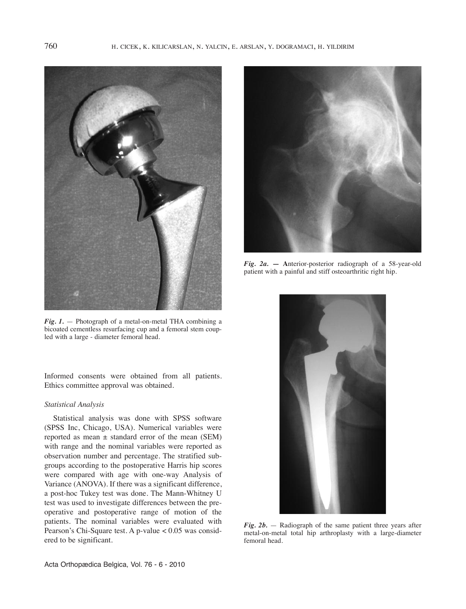

*Fig. 1.* — Photograph of a metal-on-metal THA combining a bicoated cementless resurfacing cup and a femoral stem coupled with a large - diameter femoral head.

Informed consents were obtained from all patients. Ethics committee approval was obtained.

#### *Statistical Analysis*

Statistical analysis was done with SPSS software (SPSS inc, Chicago, USA). Numerical variables were reported as mean  $\pm$  standard error of the mean (SEM) with range and the nominal variables were reported as observation number and percentage. The stratified subgroups according to the postoperative Harris hip scores were compared with age with one-way Analysis of Variance (ANOVA). if there was a significant difference, a post-hoc Tukey test was done. The Mann-Whitney U test was used to investigate differences between the preoperative and postoperative range of motion of the patients. The nominal variables were evaluated with Pearson's Chi-Square test. A p-value < 0.05 was considered to be significant.



*Fig. 2a.* **— A**nterior-posterior radiograph of a 58-year-old patient with a painful and stiff osteoarthritic right hip.



*Fig. 2b.* — Radiograph of the same patient three years after metal-on-metal total hip arthroplasty with a large-diameter femoral head.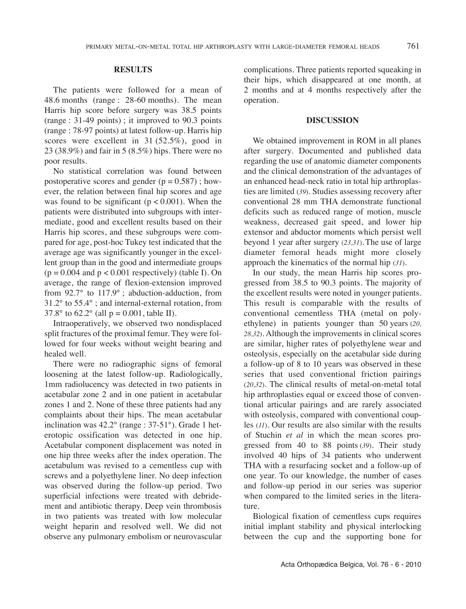## **RESULTS**

The patients were followed for a mean of 48.6 months (range : 28-60 months). The mean Harris hip score before surgery was 38.5 points (range : 31-49 points) ; it improved to 90.3 points (range : 78-97 points) at latest follow-up. Harris hip scores were excellent in 31 (52.5%), good in 23 (38.9%) and fair in 5 (8.5%) hips. There were no poor results.

No statistical correlation was found between postoperative scores and gender ( $p = 0.587$ ); however, the relation between final hip scores and age was found to be significant  $(p < 0.001)$ . When the patients were distributed into subgroups with intermediate, good and excellent results based on their Harris hip scores, and these subgroups were compared for age, post-hoc Tukey test indicated that the average age was significantly younger in the excellent group than in the good and intermediate groups  $(p = 0.004$  and  $p < 0.001$  respectively) (table I). On average, the range of flexion-extension improved from 92.7° to 117.9° ; abduction-adduction, from 31.2° to 55.4° ; and internal-external rotation, from 37.8° to 62.2° (all  $p = 0.001$ , table II).

Intraoperatively, we observed two nondisplaced split fractures of the proximal femur. They were followed for four weeks without weight bearing and healed well.

There were no radiographic signs of femoral loosening at the latest follow-up. Radiologically, 1mm radiolucency was detected in two patients in acetabular zone 2 and in one patient in acetabular zones 1 and 2. None of these three patients had any complaints about their hips. The mean acetabular inclination was  $42.2^{\circ}$  (range :  $37-51^{\circ}$ ). Grade 1 heterotopic ossification was detected in one hip. Acetabular component displacement was noted in one hip three weeks after the index operation. The acetabulum was revised to a cementless cup with screws and a polyethylene liner. No deep infection was observed during the follow-up period. Two superficial infections were treated with debridement and antibiotic therapy. Deep vein thrombosis in two patients was treated with low molecular weight heparin and resolved well. We did not observe any pulmonary embolism or neurovascular

complications. Three patients reported squeaking in their hips, which disappeared at one month, at 2 months and at 4 months respectively after the operation.

## **DISCUSSION**

We obtained improvement in ROM in all planes after surgery. Documented and published data regarding the use of anatomic diameter components and the clinical demonstration of the advantages of an enhanced head-neck ratio in total hip arthroplasties are limited (*39*). Studies assessing recovery after conventional 28 mm THA demonstrate functional deficits such as reduced range of motion, muscle weakness, decreased gait speed, and lower hip extensor and abductor moments which persist well beyond 1 year after surgery (*23,31*).The use of large diameter femoral heads might more closely approach the kinematics of the normal hip (*31*).

In our study, the mean Harris hip scores progressed from 38.5 to 90.3 points. The majority of the excellent results were noted in younger patients. This result is comparable with the results of conventional cementless THA (metal on polyethylene) in patients younger than 50 years (*20, 28,32*). Although the improvements in clinical scores are similar, higher rates of polyethylene wear and osteolysis, especially on the acetabular side during a follow-up of 8 to 10 years was observed in these series that used conventional friction pairings (*20,32*). The clinical results of metal-on-metal total hip arthroplasties equal or exceed those of conventional articular pairings and are rarely associated with osteolysis, compared with conventional couples (*11*). Our results are also similar with the results of Stuchin *et al* in which the mean scores progressed from 40 to 88 points (*39*). Their study involved 40 hips of 34 patients who underwent THA with a resurfacing socket and a follow-up of one year. To our knowledge, the number of cases and follow-up period in our series was superior when compared to the limited series in the literature.

Biological fixation of cementless cups requires initial implant stability and physical interlocking between the cup and the supporting bone for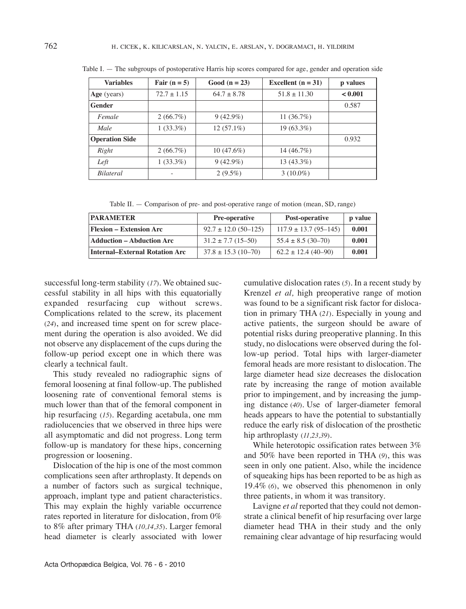| <b>Variables</b>      | Fair $(n = 5)$  | Good ( $n = 23$ ) | Excellent $(n = 31)$ | p values |
|-----------------------|-----------------|-------------------|----------------------|----------|
| Age (years)           | $72.7 \pm 1.15$ | $64.7 \pm 8.78$   | $51.8 \pm 11.30$     | < 0.001  |
| Gender                |                 |                   |                      | 0.587    |
| Female                | $2(66.7\%)$     | $9(42.9\%)$       | 11 $(36.7%)$         |          |
| Male                  | $1(33.3\%)$     | $12(57.1\%)$      | $19(63.3\%)$         |          |
| <b>Operation Side</b> |                 |                   |                      | 0.932    |
| Right                 | $2(66.7\%)$     | $10(47.6\%)$      | 14 $(46.7%)$         |          |
| Left                  | $1(33.3\%)$     | $9(42.9\%)$       | $13(43.3\%)$         |          |
| <b>Bilateral</b>      |                 | $2(9.5\%)$        | $3(10.0\%)$          |          |

Table I. — The subgroups of postoperative Harris hip scores compared for age, gender and operation side

Table II.  $-$  Comparison of pre- and post-operative range of motion (mean, SD, range)

| <b>PARAMETER</b>               | <b>Pre-operative</b>     | Post-operative              | p value |
|--------------------------------|--------------------------|-----------------------------|---------|
| Flexion – Extension Arc        | $92.7 \pm 12.0$ (50-125) | $117.9 \pm 13.7 (95 - 145)$ | 0.001   |
| Adduction – Abduction Arc      | $31.2 \pm 7.7(15 - 50)$  | $55.4 \pm 8.5(30 - 70)$     | 0.001   |
| Internal–External Rotation Arc | $37.8 \pm 15.3$ (10-70)  | $62.2 \pm 12.4$ (40-90)     | 0.001   |

successful long-term stability (*17*). We obtained successful stability in all hips with this equatorially expanded resurfacing cup without screws. Complications related to the screw, its placement (*24*), and increased time spent on for screw placement during the operation is also avoided. We did not observe any displacement of the cups during the follow-up period except one in which there was clearly a technical fault.

This study revealed no radiographic signs of femoral loosening at final follow-up. The published loosening rate of conventional femoral stems is much lower than that of the femoral component in hip resurfacing (*15*). Regarding acetabula, one mm radiolucencies that we observed in three hips were all asymptomatic and did not progress. long term follow-up is mandatory for these hips, concerning progression or loosening.

Dislocation of the hip is one of the most common complications seen after arthroplasty. it depends on a number of factors such as surgical technique, approach, implant type and patient characteristics. This may explain the highly variable occurrence rates reported in literature for dislocation, from 0% to 8% after primary THA (10,14,35). Larger femoral head diameter is clearly associated with lower cumulative dislocation rates (5). In a recent study by Krenzel *et al,* high preoperative range of motion was found to be a significant risk factor for dislocation in primary THA (*21*). Especially in young and active patients, the surgeon should be aware of potential risks during preoperative planning. In this study, no dislocations were observed during the follow-up period. Total hips with larger-diameter femoral heads are more resistant to dislocation. The large diameter head size decreases the dislocation rate by increasing the range of motion available prior to impingement, and by increasing the jumping distance (*40*). Use of larger-diameter femoral heads appears to have the potential to substantially reduce the early risk of dislocation of the prosthetic hip arthroplasty (*11,23,39*)*.*

While heterotopic ossification rates between 3% and 50% have been reported in THA (*9*), this was seen in only one patient. Also, while the incidence of squeaking hips has been reported to be as high as 19.4% (*6*), we observed this phenomenon in only three patients, in whom it was transitory.

lavigne *et al* reported that they could not demonstrate a clinical benefit of hip resurfacing over large diameter head THA in their study and the only remaining clear advantage of hip resurfacing would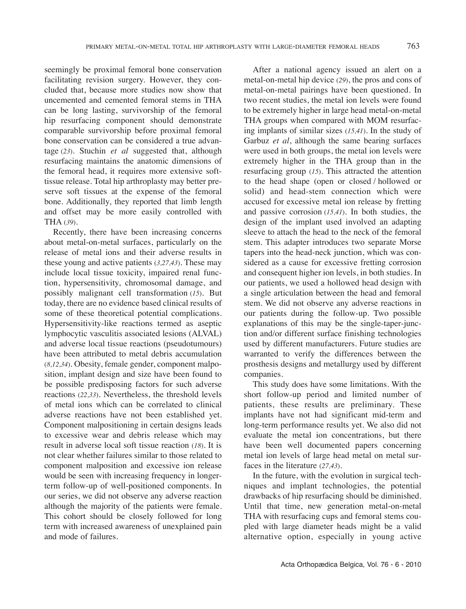seemingly be proximal femoral bone conservation facilitating revision surgery. However, they concluded that, because more studies now show that uncemented and cemented femoral stems in THA can be long lasting, survivorship of the femoral hip resurfacing component should demonstrate comparable survivorship before proximal femoral bone conservation can be considered a true advantage (*23*). Stuchin *et al* suggested that, although resurfacing maintains the anatomic dimensions of the femoral head, it requires more extensive softtissue release. Total hip arthroplasty may better preserve soft tissues at the expense of the femoral bone. Additionally, they reported that limb length and offset may be more easily controlled with THA (*39*).

Recently, there have been increasing concerns about metal-on-metal surfaces, particularly on the release of metal ions and their adverse results in these young and active patients (*3,27,43*). These may include local tissue toxicity, impaired renal function, hypersensitivity, chromosomal damage, and possibly malignant cell transformation (*15*). But today, there are no evidence based clinical results of some of these theoretical potential complications. Hypersensitivity-like reactions termed as aseptic lymphocytic vasculitis associated lesions (AlVAl) and adverse local tissue reactions (pseudotumours) have been attributed to metal debris accumulation (*8,12,34*). Obesity, female gender, component malposition, implant design and size have been found to be possible predisposing factors for such adverse reactions (*22,33*). Nevertheless, the threshold levels of metal ions which can be correlated to clinical adverse reactions have not been established yet. Component malpositioning in certain designs leads to excessive wear and debris release which may result in adverse local soft tissue reaction (*18*). It is not clear whether failures similar to those related to component malposition and excessive ion release would be seen with increasing frequency in longerterm follow-up of well-positioned components. in our series, we did not observe any adverse reaction although the majority of the patients were female. This cohort should be closely followed for long term with increased awareness of unexplained pain and mode of failures.

After a national agency issued an alert on a metal-on-metal hip device (*29*), the pros and cons of metal-on-metal pairings have been questioned. in two recent studies, the metal ion levels were found to be extremely higher in large head metal-on-metal THA groups when compared with MOM resurfacing implants of similar sizes (15,41). In the study of Garbuz *et al*, although the same bearing surfaces were used in both groups, the metal ion levels were extremely higher in the THA group than in the resurfacing group (*15*). This attracted the attention to the head shape (open or closed / hollowed or solid) and head-stem connection which were accused for excessive metal ion release by fretting and passive corrosion (*15,41*). in both studies, the design of the implant used involved an adapting sleeve to attach the head to the neck of the femoral stem. This adapter introduces two separate Morse tapers into the head-neck junction, which was considered as a cause for excessive fretting corrosion and consequent higher ion levels, in both studies. in our patients, we used a hollowed head design with a single articulation between the head and femoral stem. We did not observe any adverse reactions in our patients during the follow-up. Two possible explanations of this may be the single-taper-junction and/or different surface finishing technologies used by different manufacturers. Future studies are warranted to verify the differences between the prosthesis designs and metallurgy used by different companies.

This study does have some limitations. With the short follow-up period and limited number of patients, these results are preliminary. These implants have not had significant mid-term and long-term performance results yet. We also did not evaluate the metal ion concentrations, but there have been well documented papers concerning metal ion levels of large head metal on metal surfaces in the literature (*27,43*).

In the future, with the evolution in surgical techniques and implant technologies, the potential drawbacks of hip resurfacing should be diminished. Until that time, new generation metal-on-metal THA with resurfacing cups and femoral stems coupled with large diameter heads might be a valid alternative option, especially in young active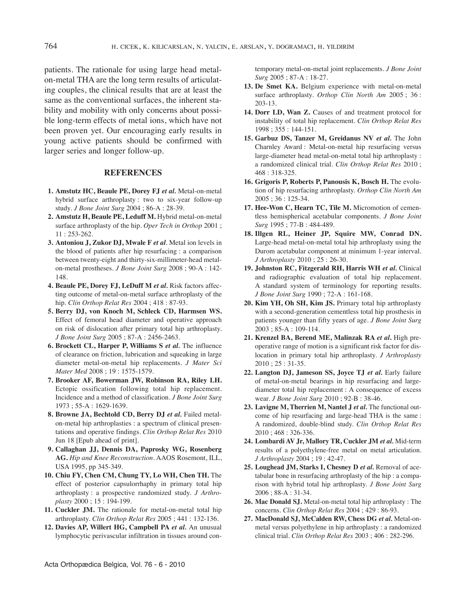patients. The rationale for using large head metalon-metal THA are the long term results of articulating couples, the clinical results that are at least the same as the conventional surfaces, the inherent stability and mobility with only concerns about possible long-term effects of metal ions, which have not been proven yet. Our encouraging early results in

young active patients should be confirmed with larger series and longer follow-up.

# **REFERENCES**

- **1. Amstutz HC, Beaule PE, Dorey FJ** *et al.* Metal-on-metal hybrid surface arthroplasty : two to six-year follow-up study. *J Bone Joint Surg* 2004 ; 86-A : 28-39.
- **2. Amstutz H, Beaule PE, Leduff M.** Hybrid metal-on-metal surface arthroplasty of the hip. *Oper Tech in Orthop* 2001 ; 11 : 253-262.
- **3. Antoniou J, Zukor DJ, Mwale F** *et al.* Metal ion levels in the blood of patients after hip resurfacing : a comparison between twenty-eight and thirty-six-millimeter-head metalon-metal prostheses. *J Bone Joint Surg* 2008 ; 90-A : 142- 148.
- **4. Beaule PE, Dorey FJ, LeDuff M** *et al.* Risk factors affecting outcome of metal-on-metal surface arthroplasty of the hip. *Clin Orthop Relat Res* 2004 ; 418 : 87-93.
- **5. Berry DJ, von Knoch M, Schleck CD, Harmsen WS.** Effect of femoral head diameter and operative approach on risk of dislocation after primary total hip arthroplasty. *J Bone Joint Surg* 2005 ; 87-A : 2456-2463.
- **6. Brockett CL, Harper P, Williams S** *et al.* The influence of clearance on friction, lubrication and squeaking in large diameter metal-on-metal hip replacements. *J Mater Sci Mater Med* 2008 ; 19 : 1575-1579.
- **7. Brooker AF, Bowerman JW, Robinson RA, Riley LH.** Ectopic ossification following total hip replacement. incidence and a method of classification. *J Bone Joint Surg* 1973 ; 55-A : 1629-1639.
- **8. Browne JA, Bechtold CD, Berry DJ** *et al.* Failed metalon-metal hip arthroplasties : a spectrum of clinical presentations and operative findings. *Clin Orthop Relat Res* 2010 Jun 18 [Epub ahead of print].
- **9. Callaghan JJ, Dennis DA, Paprosky WG, Rosenberg AG.** *Hip and Knee Reconstruction*. AAOS Rosemont, ill, USA 1995, pp 345-349.
- **10. Chiu FY, Chen CM, Chung TY, Lo WH, Chen TH.** The effect of posterior capsulorrhaphy in primary total hip arthroplasty : a prospective randomized study. *J Arthroplasty* 2000 ; 15 : 194-199.
- **11. Cuckler JM.** The rationale for metal-on-metal total hip arthroplasty. *Clin Orthop Relat Res* 2005 ; 441 : 132-136.
- **12. Davies AP, Willert HG, Campbell PA** *et al.* An unusual lymphocytic perivascular infiltration in tissues around con-

temporary metal-on-metal joint replacements. *J Bone Joint Surg* 2005 ; 87-A : 18-27.

- **13. De Smet KA.** Belgium experience with metal-on-metal surface arthroplasty. *Orthop Clin North Am* 2005 ; 36 : 203-13.
- **14. Dorr LD, Wan Z.** Causes of and treatment protocol for instability of total hip replacement. *Clin Orthop Relat Res* 1998 ; 355 : 144-151.
- **15. Garbuz DS, Tanzer M, Greidanus NV** *et al.* The John Charnley Award : Metal-on-metal hip resurfacing versus large-diameter head metal-on-metal total hip arthroplasty : a randomized clinical trial. *Clin Orthop Relat Res* 2010 ; 468 : 318-325.
- **16. Grigoris P, Roberts P, Panousis K, Bosch H.** The evolution of hip resurfacing arthroplasty. *Orthop Clin North Am* 2005 ; 36 : 125-34.
- **17. Hee-Won C, Hearn TC, Tile M.** Micromotion of cementless hemispherical acetabular components. *J Bone Joint Surg* 1995 ; 77-B : 484-489.
- **18. Illgen RL, Heiner JP, Squire MW, Conrad DN.** Large-head metal-on-metal total hip arthroplasty using the Durom acetabular component at minimum 1-year interval. *J Arthroplasty* 2010 ; 25 : 26-30.
- **19. Johnston RC, Fitzgerald RH, Harris WH** *et al.* Clinical and radiographic evaluation of total hip replacement. A standard system of terminology for reporting results. *J Bone Joint Surg* 1990 ; 72-A : 161-168.
- **20. Kim YH, Oh SH, Kim JS.** Primary total hip arthroplasty with a second-generation cementless total hip prosthesis in patients younger than fifty years of age. *J Bone Joint Surg* 2003 ; 85-A : 109-114.
- **21. Krenzel BA, Berend ME, Malinzak RA** *et al***.** High preoperative range of motion is a significant risk factor for dislocation in primary total hip arthroplasty. *J Arthroplasty* 2010 ; 25 : 31-35.
- **22. Langton DJ, Jameson SS, Joyce TJ** *et al.* Early failure of metal-on-metal bearings in hip resurfacing and largediameter total hip replacement : A consequence of excess wear. *J Bone Joint Surg* 2010 ; 92-B : 38-46.
- **23. Lavigne M, Therrien M, Nantel J** *et al.* The functional outcome of hip resurfacing and large-head THA is the same : A randomized, double-blind study. *Clin Orthop Relat Res* 2010 ; 468 : 326-336.
- **24. Lombardi AV Jr, Mallory TR, Cuckler JM** *et al.* Mid-term results of a polyethylene-free metal on metal articulation. *J Arthroplasty* 2004 ; 19 : 42-47.
- **25. Loughead JM, Starks I, Chesney D** *et al.* Removal of acetabular bone in resurfacing arthroplasty of the hip : a comparison with hybrid total hip arthroplasty. *J Bone Joint Surg* 2006 ; 88-A : 31-34.
- **26. Mac Donald SJ.** Metal-on-metal total hip arthroplasty : The concerns. *Clin Orthop Relat Res* 2004 ; 429 : 86-93.
- **27. MacDonald SJ, McCalden RW, Chess DG** *et al.* Metal-onmetal versus polyethylene in hip arthroplasty : a randomized clinical trial. *Clin Orthop Relat Res* 2003 ; 406 : 282-296.